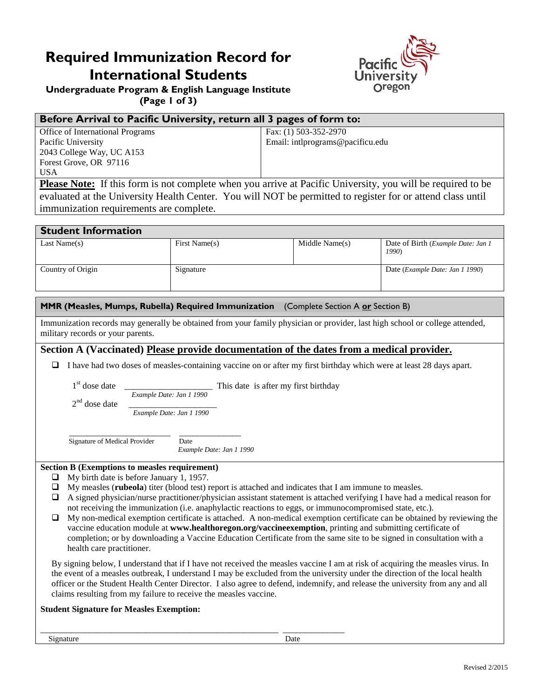# **Required Immunization Record for International Students**



**Undergraduate Program & English Language Institute (Page 1 of 3)**

## **Before Arrival to Pacific University, return all 3 pages of form to:**

| Office of International Programs | Fax: (1) 503-352-2970            |
|----------------------------------|----------------------------------|
| Pacific University               | Email: intlprograms@pacificu.edu |
| 2043 College Way, UC A153        |                                  |
| Forest Grove, OR 97116           |                                  |
| <b>USA</b>                       |                                  |

**Please Note:** If this form is not complete when you arrive at Pacific University, you will be required to be evaluated at the University Health Center. You will NOT be permitted to register for or attend class until immunization requirements are complete.

| <b>Student Information</b> |               |                |                                                     |  |
|----------------------------|---------------|----------------|-----------------------------------------------------|--|
| Last Name $(s)$            | First Name(s) | Middle Name(s) | Date of Birth ( <i>Example Date: Jan 1</i><br>1990) |  |
| Country of Origin          | Signature     |                | Date ( <i>Example Date: Jan 1 1990</i> )            |  |

#### **MMR (Measles, Mumps, Rubella) Required Immunization** (Complete Section A **or** Section B)

Immunization records may generally be obtained from your family physician or provider, last high school or college attended, military records or your parents.

#### **Section A (Vaccinated) Please provide documentation of the dates from a medical provider.**

I have had two doses of measles-containing vaccine on or after my first birthday which were at least 28 days apart.

1st dose date  $\frac{1}{\text{Example Date: Jan 1 1990}}$  This date is after my first birthday  $2^{\text{nd}}$  dose date

Example Date: Jan 1 1990

Signature of Medical Provider Date

*Example Date: Jan 1 1990*

#### **Section B (Exemptions to measles requirement)**

- $\Box$  My birth date is before January 1, 1957.
- My measles (**rubeola**) titer (blood test) report is attached and indicates that I am immune to measles.
- $\Box$  A signed physician/nurse practitioner/physician assistant statement is attached verifying I have had a medical reason for not receiving the immunization (i.e. anaphylactic reactions to eggs, or immunocompromised state, etc.).
- $\Box$  My non-medical exemption certificate is attached. A non-medical exemption certificate can be obtained by reviewing the vaccine education module at **www.healthoregon.org/vaccineexemption**, printing and submitting certificate of completion; or by downloading a Vaccine Education Certificate from the same site to be signed in consultation with a health care practitioner.

By signing below, I understand that if I have not received the measles vaccine I am at risk of acquiring the measles virus. In the event of a measles outbreak, I understand I may be excluded from the university under the direction of the local health officer or the Student Health Center Director. I also agree to defend, indemnify, and release the university from any and all claims resulting from my failure to receive the measles vaccine.

#### **Student Signature for Measles Exemption:**

\_\_\_\_\_\_\_\_\_\_\_\_\_\_\_\_\_\_\_\_\_\_\_\_\_\_\_\_\_\_\_\_\_\_\_\_\_\_\_\_\_\_\_\_\_\_\_\_\_\_\_\_\_\_ \_\_\_\_\_\_\_\_\_\_\_\_\_\_ Signature Date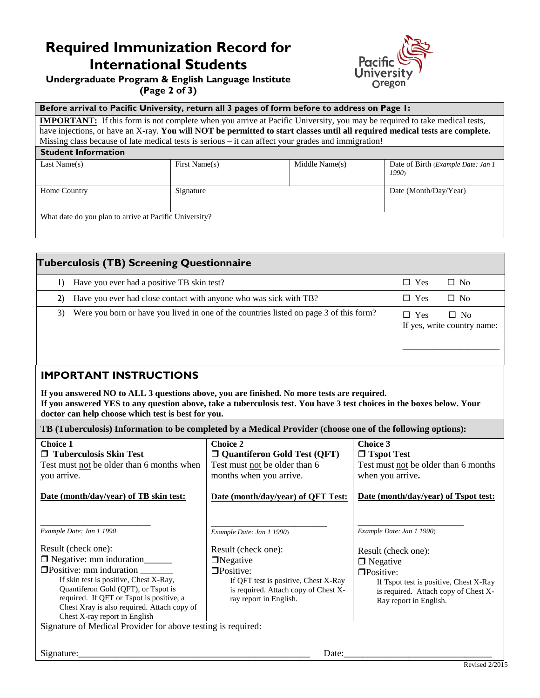# **Required Immunization Record for International Students**



### **Undergraduate Program & English Language Institute (Page 2 of 3)**

#### **Before arrival to Pacific University, return all 3 pages of form before to address on Page 1:**

**IMPORTANT:** If this form is not complete when you arrive at Pacific University, you may be required to take medical tests, have injections, or have an X-ray. **You will NOT be permitted to start classes until all required medical tests are complete.** Missing class because of late medical tests is serious – it can affect your grades and immigration!

#### **Student Information**

| Last Name $(s)$                                        | First Name(s) | Middle Name(s) | Date of Birth (Example Date: Jan 1)<br>1990) |  |
|--------------------------------------------------------|---------------|----------------|----------------------------------------------|--|
| Home Country                                           | Signature     |                | Date (Month/Day/Year)                        |  |
| What date do you plan to arrive at Pacific University? |               |                |                                              |  |

|    | <b>Tuberculosis (TB) Screening Questionnaire</b>                                       |            |                                          |
|----|----------------------------------------------------------------------------------------|------------|------------------------------------------|
|    | Have you ever had a positive TB skin test?                                             | $\Box$ Yes | $\Box$ No                                |
| 2) | Have you ever had close contact with anyone who was sick with TB?                      | $\Box$ Yes | $\Box$ No                                |
| 3) | Were you born or have you lived in one of the countries listed on page 3 of this form? | $\Box$ Yes | $\Box$ No<br>If yes, write country name: |

## **IMPORTANT INSTRUCTIONS**

**If you answered NO to ALL 3 questions above, you are finished. No more tests are required. If you answered YES to any question above, take a tuberculosis test. You have 3 test choices in the boxes below. Your doctor can help choose which test is best for you.**

**TB (Tuberculosis) Information to be completed by a Medical Provider (choose one of the following options):** 

| <b>Choice 1</b><br>□ Tuberculosis Skin Test<br>Test must not be older than 6 months when<br>you arrive.<br>Date (month/day/year) of TB skin test:                                                                                                                                                                                | <b>Choice 2</b><br>$\Box$ Quantiferon Gold Test (QFT)<br>Test must not be older than 6<br>months when you arrive.<br>Date (month/day/year) of QFT Test:                                           | Choice 3<br>$\Box$ Tspot Test<br>Test must not be older than 6 months<br>when you arrive.<br>Date (month/day/year) of Tspot test:                                                             |  |
|----------------------------------------------------------------------------------------------------------------------------------------------------------------------------------------------------------------------------------------------------------------------------------------------------------------------------------|---------------------------------------------------------------------------------------------------------------------------------------------------------------------------------------------------|-----------------------------------------------------------------------------------------------------------------------------------------------------------------------------------------------|--|
| Example Date: Jan 1 1990<br>Result (check one):<br>$\Box$ Negative: mm induration<br>$\Box$ Positive: mm induration<br>If skin test is positive, Chest X-Ray,<br>Quantiferon Gold (QFT), or Tspot is<br>required. If QFT or Tspot is positive, a<br>Chest Xray is also required. Attach copy of<br>Chest X-ray report in English | Example Date: Jan 1 1990)<br>Result (check one):<br>$\Box$ Negative<br>$\Box$ Positive:<br>If QFT test is positive, Chest X-Ray<br>is required. Attach copy of Chest X-<br>ray report in English. | Example Date: Jan 1 1990)<br>Result (check one):<br>$\Box$ Negative<br>□Positive:<br>If Tspot test is positive, Chest X-Ray<br>is required. Attach copy of Chest X-<br>Ray report in English. |  |
| Signature of Medical Provider for above testing is required:<br>Signature:<br>Date:                                                                                                                                                                                                                                              |                                                                                                                                                                                                   |                                                                                                                                                                                               |  |